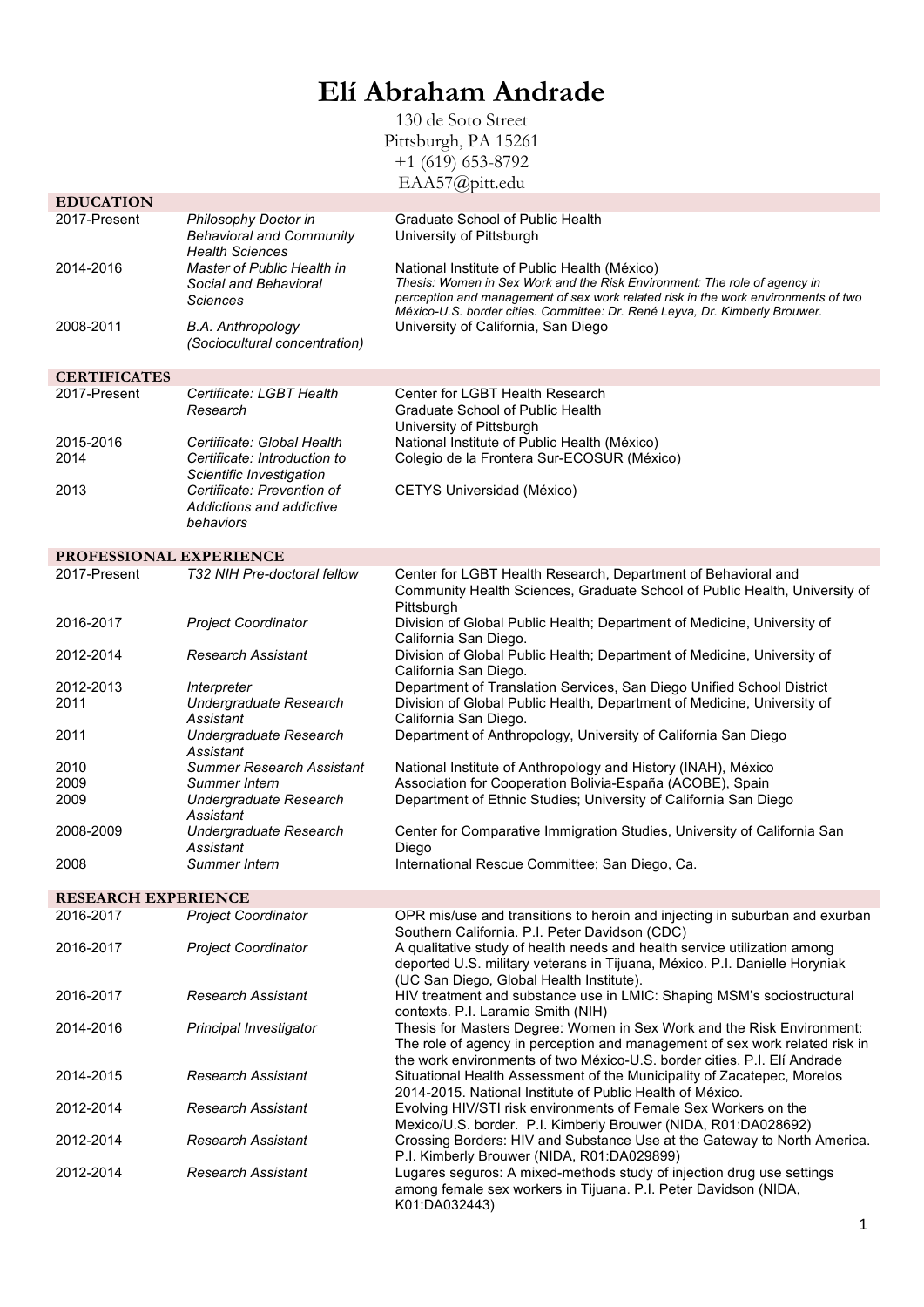## **Elí Abraham Andrade**

130 de Soto Street Pittsburgh, PA 15261  $+1$  (619) 653-8792 EAA57@pitt.edu

| <b>Graduate School of Public Health</b><br>2017-Present<br>Philosophy Doctor in<br><b>Behavioral and Community</b><br>University of Pittsburgh<br><b>Health Sciences</b><br>2014-2016<br>Master of Public Health in<br>National Institute of Public Health (México)<br>Thesis: Women in Sex Work and the Risk Environment: The role of agency in<br>Social and Behavioral<br>perception and management of sex work related risk in the work environments of two<br>Sciences<br>México-U.S. border cities. Committee: Dr. René Leyva, Dr. Kimberly Brouwer.<br>2008-2011<br>B.A. Anthropology<br>University of California, San Diego<br>(Sociocultural concentration)<br><b>CERTIFICATES</b><br>Certificate: LGBT Health<br>Center for LGBT Health Research<br>2017-Present<br>Graduate School of Public Health<br>Research<br>University of Pittsburgh<br>2015-2016<br>Certificate: Global Health<br>National Institute of Public Health (México)<br>Colegio de la Frontera Sur-ECOSUR (México)<br>2014<br>Certificate: Introduction to<br>Scientific Investigation<br>Certificate: Prevention of<br>2013<br>CETYS Universidad (México)<br>Addictions and addictive<br>behaviors<br>PROFESSIONAL EXPERIENCE<br>2017-Present<br>T32 NIH Pre-doctoral fellow<br>Center for LGBT Health Research, Department of Behavioral and<br>Community Health Sciences, Graduate School of Public Health, University of<br>Pittsburgh<br>2016-2017<br>Division of Global Public Health; Department of Medicine, University of<br><b>Project Coordinator</b><br>California San Diego.<br>Division of Global Public Health; Department of Medicine, University of<br>2012-2014<br>Research Assistant<br>California San Diego.<br>Department of Translation Services, San Diego Unified School District<br>2012-2013<br>Interpreter<br>Division of Global Public Health, Department of Medicine, University of<br>2011<br>Undergraduate Research<br>Assistant<br>California San Diego.<br>Department of Anthropology, University of California San Diego<br>2011<br>Undergraduate Research<br>Assistant<br>2010<br><b>Summer Research Assistant</b><br>National Institute of Anthropology and History (INAH), México<br>2009<br>Association for Cooperation Bolivia-España (ACOBE), Spain<br>Summer Intern<br>2009<br>Department of Ethnic Studies; University of California San Diego<br>Undergraduate Research<br>Assistant<br>2008-2009<br>Undergraduate Research<br>Center for Comparative Immigration Studies, University of California San<br>Assistant<br>Diego<br>2008<br>Summer Intern<br>International Rescue Committee; San Diego, Ca.<br><b>RESEARCH EXPERIENCE</b><br>2016-2017<br><b>Project Coordinator</b><br>OPR mis/use and transitions to heroin and injecting in suburban and exurban<br>Southern California. P.I. Peter Davidson (CDC)<br>A qualitative study of health needs and health service utilization among<br>2016-2017<br><b>Project Coordinator</b><br>deported U.S. military veterans in Tijuana, México. P.I. Danielle Horyniak<br>(UC San Diego, Global Health Institute).<br>HIV treatment and substance use in LMIC: Shaping MSM's sociostructural<br>2016-2017<br>Research Assistant<br>contexts. P.I. Laramie Smith (NIH)<br>Thesis for Masters Degree: Women in Sex Work and the Risk Environment:<br>2014-2016<br>Principal Investigator<br>The role of agency in perception and management of sex work related risk in<br>the work environments of two México-U.S. border cities. P.I. Elí Andrade<br>2014-2015<br><b>Research Assistant</b><br>Situational Health Assessment of the Municipality of Zacatepec, Morelos<br>2014-2015. National Institute of Public Health of México.<br>2012-2014<br>Evolving HIV/STI risk environments of Female Sex Workers on the<br>Research Assistant<br>Mexico/U.S. border. P.I. Kimberly Brouwer (NIDA, R01:DA028692)<br>2012-2014<br><b>Research Assistant</b><br>Crossing Borders: HIV and Substance Use at the Gateway to North America.<br>P.I. Kimberly Brouwer (NIDA, R01:DA029899)<br>Lugares seguros: A mixed-methods study of injection drug use settings<br>2012-2014<br><b>Research Assistant</b><br>among female sex workers in Tijuana. P.I. Peter Davidson (NIDA, |                  |  | $11110$ , $\omega$ |  |  |
|------------------------------------------------------------------------------------------------------------------------------------------------------------------------------------------------------------------------------------------------------------------------------------------------------------------------------------------------------------------------------------------------------------------------------------------------------------------------------------------------------------------------------------------------------------------------------------------------------------------------------------------------------------------------------------------------------------------------------------------------------------------------------------------------------------------------------------------------------------------------------------------------------------------------------------------------------------------------------------------------------------------------------------------------------------------------------------------------------------------------------------------------------------------------------------------------------------------------------------------------------------------------------------------------------------------------------------------------------------------------------------------------------------------------------------------------------------------------------------------------------------------------------------------------------------------------------------------------------------------------------------------------------------------------------------------------------------------------------------------------------------------------------------------------------------------------------------------------------------------------------------------------------------------------------------------------------------------------------------------------------------------------------------------------------------------------------------------------------------------------------------------------------------------------------------------------------------------------------------------------------------------------------------------------------------------------------------------------------------------------------------------------------------------------------------------------------------------------------------------------------------------------------------------------------------------------------------------------------------------------------------------------------------------------------------------------------------------------------------------------------------------------------------------------------------------------------------------------------------------------------------------------------------------------------------------------------------------------------------------------------------------------------------------------------------------------------------------------------------------------------------------------------------------------------------------------------------------------------------------------------------------------------------------------------------------------------------------------------------------------------------------------------------------------------------------------------------------------------------------------------------------------------------------------------------------------------------------------------------------------------------------------------------------------------------------------------------------------------------------------------------------------------------------------------------------------------------------------------------------------------------------------------------------------------------------------------------------------------------------------------------------------------------------------------------------------------------------------------------------------------------------------------------------------------------------------------------------------------------------------|------------------|--|--------------------|--|--|
|                                                                                                                                                                                                                                                                                                                                                                                                                                                                                                                                                                                                                                                                                                                                                                                                                                                                                                                                                                                                                                                                                                                                                                                                                                                                                                                                                                                                                                                                                                                                                                                                                                                                                                                                                                                                                                                                                                                                                                                                                                                                                                                                                                                                                                                                                                                                                                                                                                                                                                                                                                                                                                                                                                                                                                                                                                                                                                                                                                                                                                                                                                                                                                                                                                                                                                                                                                                                                                                                                                                                                                                                                                                                                                                                                                                                                                                                                                                                                                                                                                                                                                                                                                                                                                                | <b>EDUCATION</b> |  |                    |  |  |
|                                                                                                                                                                                                                                                                                                                                                                                                                                                                                                                                                                                                                                                                                                                                                                                                                                                                                                                                                                                                                                                                                                                                                                                                                                                                                                                                                                                                                                                                                                                                                                                                                                                                                                                                                                                                                                                                                                                                                                                                                                                                                                                                                                                                                                                                                                                                                                                                                                                                                                                                                                                                                                                                                                                                                                                                                                                                                                                                                                                                                                                                                                                                                                                                                                                                                                                                                                                                                                                                                                                                                                                                                                                                                                                                                                                                                                                                                                                                                                                                                                                                                                                                                                                                                                                |                  |  |                    |  |  |
|                                                                                                                                                                                                                                                                                                                                                                                                                                                                                                                                                                                                                                                                                                                                                                                                                                                                                                                                                                                                                                                                                                                                                                                                                                                                                                                                                                                                                                                                                                                                                                                                                                                                                                                                                                                                                                                                                                                                                                                                                                                                                                                                                                                                                                                                                                                                                                                                                                                                                                                                                                                                                                                                                                                                                                                                                                                                                                                                                                                                                                                                                                                                                                                                                                                                                                                                                                                                                                                                                                                                                                                                                                                                                                                                                                                                                                                                                                                                                                                                                                                                                                                                                                                                                                                |                  |  |                    |  |  |
|                                                                                                                                                                                                                                                                                                                                                                                                                                                                                                                                                                                                                                                                                                                                                                                                                                                                                                                                                                                                                                                                                                                                                                                                                                                                                                                                                                                                                                                                                                                                                                                                                                                                                                                                                                                                                                                                                                                                                                                                                                                                                                                                                                                                                                                                                                                                                                                                                                                                                                                                                                                                                                                                                                                                                                                                                                                                                                                                                                                                                                                                                                                                                                                                                                                                                                                                                                                                                                                                                                                                                                                                                                                                                                                                                                                                                                                                                                                                                                                                                                                                                                                                                                                                                                                |                  |  |                    |  |  |
|                                                                                                                                                                                                                                                                                                                                                                                                                                                                                                                                                                                                                                                                                                                                                                                                                                                                                                                                                                                                                                                                                                                                                                                                                                                                                                                                                                                                                                                                                                                                                                                                                                                                                                                                                                                                                                                                                                                                                                                                                                                                                                                                                                                                                                                                                                                                                                                                                                                                                                                                                                                                                                                                                                                                                                                                                                                                                                                                                                                                                                                                                                                                                                                                                                                                                                                                                                                                                                                                                                                                                                                                                                                                                                                                                                                                                                                                                                                                                                                                                                                                                                                                                                                                                                                |                  |  |                    |  |  |
|                                                                                                                                                                                                                                                                                                                                                                                                                                                                                                                                                                                                                                                                                                                                                                                                                                                                                                                                                                                                                                                                                                                                                                                                                                                                                                                                                                                                                                                                                                                                                                                                                                                                                                                                                                                                                                                                                                                                                                                                                                                                                                                                                                                                                                                                                                                                                                                                                                                                                                                                                                                                                                                                                                                                                                                                                                                                                                                                                                                                                                                                                                                                                                                                                                                                                                                                                                                                                                                                                                                                                                                                                                                                                                                                                                                                                                                                                                                                                                                                                                                                                                                                                                                                                                                |                  |  |                    |  |  |
|                                                                                                                                                                                                                                                                                                                                                                                                                                                                                                                                                                                                                                                                                                                                                                                                                                                                                                                                                                                                                                                                                                                                                                                                                                                                                                                                                                                                                                                                                                                                                                                                                                                                                                                                                                                                                                                                                                                                                                                                                                                                                                                                                                                                                                                                                                                                                                                                                                                                                                                                                                                                                                                                                                                                                                                                                                                                                                                                                                                                                                                                                                                                                                                                                                                                                                                                                                                                                                                                                                                                                                                                                                                                                                                                                                                                                                                                                                                                                                                                                                                                                                                                                                                                                                                |                  |  |                    |  |  |
|                                                                                                                                                                                                                                                                                                                                                                                                                                                                                                                                                                                                                                                                                                                                                                                                                                                                                                                                                                                                                                                                                                                                                                                                                                                                                                                                                                                                                                                                                                                                                                                                                                                                                                                                                                                                                                                                                                                                                                                                                                                                                                                                                                                                                                                                                                                                                                                                                                                                                                                                                                                                                                                                                                                                                                                                                                                                                                                                                                                                                                                                                                                                                                                                                                                                                                                                                                                                                                                                                                                                                                                                                                                                                                                                                                                                                                                                                                                                                                                                                                                                                                                                                                                                                                                |                  |  |                    |  |  |
|                                                                                                                                                                                                                                                                                                                                                                                                                                                                                                                                                                                                                                                                                                                                                                                                                                                                                                                                                                                                                                                                                                                                                                                                                                                                                                                                                                                                                                                                                                                                                                                                                                                                                                                                                                                                                                                                                                                                                                                                                                                                                                                                                                                                                                                                                                                                                                                                                                                                                                                                                                                                                                                                                                                                                                                                                                                                                                                                                                                                                                                                                                                                                                                                                                                                                                                                                                                                                                                                                                                                                                                                                                                                                                                                                                                                                                                                                                                                                                                                                                                                                                                                                                                                                                                |                  |  |                    |  |  |
|                                                                                                                                                                                                                                                                                                                                                                                                                                                                                                                                                                                                                                                                                                                                                                                                                                                                                                                                                                                                                                                                                                                                                                                                                                                                                                                                                                                                                                                                                                                                                                                                                                                                                                                                                                                                                                                                                                                                                                                                                                                                                                                                                                                                                                                                                                                                                                                                                                                                                                                                                                                                                                                                                                                                                                                                                                                                                                                                                                                                                                                                                                                                                                                                                                                                                                                                                                                                                                                                                                                                                                                                                                                                                                                                                                                                                                                                                                                                                                                                                                                                                                                                                                                                                                                |                  |  |                    |  |  |
|                                                                                                                                                                                                                                                                                                                                                                                                                                                                                                                                                                                                                                                                                                                                                                                                                                                                                                                                                                                                                                                                                                                                                                                                                                                                                                                                                                                                                                                                                                                                                                                                                                                                                                                                                                                                                                                                                                                                                                                                                                                                                                                                                                                                                                                                                                                                                                                                                                                                                                                                                                                                                                                                                                                                                                                                                                                                                                                                                                                                                                                                                                                                                                                                                                                                                                                                                                                                                                                                                                                                                                                                                                                                                                                                                                                                                                                                                                                                                                                                                                                                                                                                                                                                                                                |                  |  |                    |  |  |
|                                                                                                                                                                                                                                                                                                                                                                                                                                                                                                                                                                                                                                                                                                                                                                                                                                                                                                                                                                                                                                                                                                                                                                                                                                                                                                                                                                                                                                                                                                                                                                                                                                                                                                                                                                                                                                                                                                                                                                                                                                                                                                                                                                                                                                                                                                                                                                                                                                                                                                                                                                                                                                                                                                                                                                                                                                                                                                                                                                                                                                                                                                                                                                                                                                                                                                                                                                                                                                                                                                                                                                                                                                                                                                                                                                                                                                                                                                                                                                                                                                                                                                                                                                                                                                                |                  |  |                    |  |  |
|                                                                                                                                                                                                                                                                                                                                                                                                                                                                                                                                                                                                                                                                                                                                                                                                                                                                                                                                                                                                                                                                                                                                                                                                                                                                                                                                                                                                                                                                                                                                                                                                                                                                                                                                                                                                                                                                                                                                                                                                                                                                                                                                                                                                                                                                                                                                                                                                                                                                                                                                                                                                                                                                                                                                                                                                                                                                                                                                                                                                                                                                                                                                                                                                                                                                                                                                                                                                                                                                                                                                                                                                                                                                                                                                                                                                                                                                                                                                                                                                                                                                                                                                                                                                                                                |                  |  |                    |  |  |
|                                                                                                                                                                                                                                                                                                                                                                                                                                                                                                                                                                                                                                                                                                                                                                                                                                                                                                                                                                                                                                                                                                                                                                                                                                                                                                                                                                                                                                                                                                                                                                                                                                                                                                                                                                                                                                                                                                                                                                                                                                                                                                                                                                                                                                                                                                                                                                                                                                                                                                                                                                                                                                                                                                                                                                                                                                                                                                                                                                                                                                                                                                                                                                                                                                                                                                                                                                                                                                                                                                                                                                                                                                                                                                                                                                                                                                                                                                                                                                                                                                                                                                                                                                                                                                                |                  |  |                    |  |  |
|                                                                                                                                                                                                                                                                                                                                                                                                                                                                                                                                                                                                                                                                                                                                                                                                                                                                                                                                                                                                                                                                                                                                                                                                                                                                                                                                                                                                                                                                                                                                                                                                                                                                                                                                                                                                                                                                                                                                                                                                                                                                                                                                                                                                                                                                                                                                                                                                                                                                                                                                                                                                                                                                                                                                                                                                                                                                                                                                                                                                                                                                                                                                                                                                                                                                                                                                                                                                                                                                                                                                                                                                                                                                                                                                                                                                                                                                                                                                                                                                                                                                                                                                                                                                                                                |                  |  |                    |  |  |
|                                                                                                                                                                                                                                                                                                                                                                                                                                                                                                                                                                                                                                                                                                                                                                                                                                                                                                                                                                                                                                                                                                                                                                                                                                                                                                                                                                                                                                                                                                                                                                                                                                                                                                                                                                                                                                                                                                                                                                                                                                                                                                                                                                                                                                                                                                                                                                                                                                                                                                                                                                                                                                                                                                                                                                                                                                                                                                                                                                                                                                                                                                                                                                                                                                                                                                                                                                                                                                                                                                                                                                                                                                                                                                                                                                                                                                                                                                                                                                                                                                                                                                                                                                                                                                                |                  |  |                    |  |  |
|                                                                                                                                                                                                                                                                                                                                                                                                                                                                                                                                                                                                                                                                                                                                                                                                                                                                                                                                                                                                                                                                                                                                                                                                                                                                                                                                                                                                                                                                                                                                                                                                                                                                                                                                                                                                                                                                                                                                                                                                                                                                                                                                                                                                                                                                                                                                                                                                                                                                                                                                                                                                                                                                                                                                                                                                                                                                                                                                                                                                                                                                                                                                                                                                                                                                                                                                                                                                                                                                                                                                                                                                                                                                                                                                                                                                                                                                                                                                                                                                                                                                                                                                                                                                                                                |                  |  |                    |  |  |
|                                                                                                                                                                                                                                                                                                                                                                                                                                                                                                                                                                                                                                                                                                                                                                                                                                                                                                                                                                                                                                                                                                                                                                                                                                                                                                                                                                                                                                                                                                                                                                                                                                                                                                                                                                                                                                                                                                                                                                                                                                                                                                                                                                                                                                                                                                                                                                                                                                                                                                                                                                                                                                                                                                                                                                                                                                                                                                                                                                                                                                                                                                                                                                                                                                                                                                                                                                                                                                                                                                                                                                                                                                                                                                                                                                                                                                                                                                                                                                                                                                                                                                                                                                                                                                                |                  |  |                    |  |  |
|                                                                                                                                                                                                                                                                                                                                                                                                                                                                                                                                                                                                                                                                                                                                                                                                                                                                                                                                                                                                                                                                                                                                                                                                                                                                                                                                                                                                                                                                                                                                                                                                                                                                                                                                                                                                                                                                                                                                                                                                                                                                                                                                                                                                                                                                                                                                                                                                                                                                                                                                                                                                                                                                                                                                                                                                                                                                                                                                                                                                                                                                                                                                                                                                                                                                                                                                                                                                                                                                                                                                                                                                                                                                                                                                                                                                                                                                                                                                                                                                                                                                                                                                                                                                                                                |                  |  |                    |  |  |
|                                                                                                                                                                                                                                                                                                                                                                                                                                                                                                                                                                                                                                                                                                                                                                                                                                                                                                                                                                                                                                                                                                                                                                                                                                                                                                                                                                                                                                                                                                                                                                                                                                                                                                                                                                                                                                                                                                                                                                                                                                                                                                                                                                                                                                                                                                                                                                                                                                                                                                                                                                                                                                                                                                                                                                                                                                                                                                                                                                                                                                                                                                                                                                                                                                                                                                                                                                                                                                                                                                                                                                                                                                                                                                                                                                                                                                                                                                                                                                                                                                                                                                                                                                                                                                                |                  |  |                    |  |  |
|                                                                                                                                                                                                                                                                                                                                                                                                                                                                                                                                                                                                                                                                                                                                                                                                                                                                                                                                                                                                                                                                                                                                                                                                                                                                                                                                                                                                                                                                                                                                                                                                                                                                                                                                                                                                                                                                                                                                                                                                                                                                                                                                                                                                                                                                                                                                                                                                                                                                                                                                                                                                                                                                                                                                                                                                                                                                                                                                                                                                                                                                                                                                                                                                                                                                                                                                                                                                                                                                                                                                                                                                                                                                                                                                                                                                                                                                                                                                                                                                                                                                                                                                                                                                                                                |                  |  |                    |  |  |
|                                                                                                                                                                                                                                                                                                                                                                                                                                                                                                                                                                                                                                                                                                                                                                                                                                                                                                                                                                                                                                                                                                                                                                                                                                                                                                                                                                                                                                                                                                                                                                                                                                                                                                                                                                                                                                                                                                                                                                                                                                                                                                                                                                                                                                                                                                                                                                                                                                                                                                                                                                                                                                                                                                                                                                                                                                                                                                                                                                                                                                                                                                                                                                                                                                                                                                                                                                                                                                                                                                                                                                                                                                                                                                                                                                                                                                                                                                                                                                                                                                                                                                                                                                                                                                                |                  |  |                    |  |  |
|                                                                                                                                                                                                                                                                                                                                                                                                                                                                                                                                                                                                                                                                                                                                                                                                                                                                                                                                                                                                                                                                                                                                                                                                                                                                                                                                                                                                                                                                                                                                                                                                                                                                                                                                                                                                                                                                                                                                                                                                                                                                                                                                                                                                                                                                                                                                                                                                                                                                                                                                                                                                                                                                                                                                                                                                                                                                                                                                                                                                                                                                                                                                                                                                                                                                                                                                                                                                                                                                                                                                                                                                                                                                                                                                                                                                                                                                                                                                                                                                                                                                                                                                                                                                                                                |                  |  |                    |  |  |
|                                                                                                                                                                                                                                                                                                                                                                                                                                                                                                                                                                                                                                                                                                                                                                                                                                                                                                                                                                                                                                                                                                                                                                                                                                                                                                                                                                                                                                                                                                                                                                                                                                                                                                                                                                                                                                                                                                                                                                                                                                                                                                                                                                                                                                                                                                                                                                                                                                                                                                                                                                                                                                                                                                                                                                                                                                                                                                                                                                                                                                                                                                                                                                                                                                                                                                                                                                                                                                                                                                                                                                                                                                                                                                                                                                                                                                                                                                                                                                                                                                                                                                                                                                                                                                                |                  |  |                    |  |  |
|                                                                                                                                                                                                                                                                                                                                                                                                                                                                                                                                                                                                                                                                                                                                                                                                                                                                                                                                                                                                                                                                                                                                                                                                                                                                                                                                                                                                                                                                                                                                                                                                                                                                                                                                                                                                                                                                                                                                                                                                                                                                                                                                                                                                                                                                                                                                                                                                                                                                                                                                                                                                                                                                                                                                                                                                                                                                                                                                                                                                                                                                                                                                                                                                                                                                                                                                                                                                                                                                                                                                                                                                                                                                                                                                                                                                                                                                                                                                                                                                                                                                                                                                                                                                                                                |                  |  |                    |  |  |
|                                                                                                                                                                                                                                                                                                                                                                                                                                                                                                                                                                                                                                                                                                                                                                                                                                                                                                                                                                                                                                                                                                                                                                                                                                                                                                                                                                                                                                                                                                                                                                                                                                                                                                                                                                                                                                                                                                                                                                                                                                                                                                                                                                                                                                                                                                                                                                                                                                                                                                                                                                                                                                                                                                                                                                                                                                                                                                                                                                                                                                                                                                                                                                                                                                                                                                                                                                                                                                                                                                                                                                                                                                                                                                                                                                                                                                                                                                                                                                                                                                                                                                                                                                                                                                                |                  |  |                    |  |  |
|                                                                                                                                                                                                                                                                                                                                                                                                                                                                                                                                                                                                                                                                                                                                                                                                                                                                                                                                                                                                                                                                                                                                                                                                                                                                                                                                                                                                                                                                                                                                                                                                                                                                                                                                                                                                                                                                                                                                                                                                                                                                                                                                                                                                                                                                                                                                                                                                                                                                                                                                                                                                                                                                                                                                                                                                                                                                                                                                                                                                                                                                                                                                                                                                                                                                                                                                                                                                                                                                                                                                                                                                                                                                                                                                                                                                                                                                                                                                                                                                                                                                                                                                                                                                                                                |                  |  |                    |  |  |
|                                                                                                                                                                                                                                                                                                                                                                                                                                                                                                                                                                                                                                                                                                                                                                                                                                                                                                                                                                                                                                                                                                                                                                                                                                                                                                                                                                                                                                                                                                                                                                                                                                                                                                                                                                                                                                                                                                                                                                                                                                                                                                                                                                                                                                                                                                                                                                                                                                                                                                                                                                                                                                                                                                                                                                                                                                                                                                                                                                                                                                                                                                                                                                                                                                                                                                                                                                                                                                                                                                                                                                                                                                                                                                                                                                                                                                                                                                                                                                                                                                                                                                                                                                                                                                                |                  |  |                    |  |  |
|                                                                                                                                                                                                                                                                                                                                                                                                                                                                                                                                                                                                                                                                                                                                                                                                                                                                                                                                                                                                                                                                                                                                                                                                                                                                                                                                                                                                                                                                                                                                                                                                                                                                                                                                                                                                                                                                                                                                                                                                                                                                                                                                                                                                                                                                                                                                                                                                                                                                                                                                                                                                                                                                                                                                                                                                                                                                                                                                                                                                                                                                                                                                                                                                                                                                                                                                                                                                                                                                                                                                                                                                                                                                                                                                                                                                                                                                                                                                                                                                                                                                                                                                                                                                                                                |                  |  |                    |  |  |
|                                                                                                                                                                                                                                                                                                                                                                                                                                                                                                                                                                                                                                                                                                                                                                                                                                                                                                                                                                                                                                                                                                                                                                                                                                                                                                                                                                                                                                                                                                                                                                                                                                                                                                                                                                                                                                                                                                                                                                                                                                                                                                                                                                                                                                                                                                                                                                                                                                                                                                                                                                                                                                                                                                                                                                                                                                                                                                                                                                                                                                                                                                                                                                                                                                                                                                                                                                                                                                                                                                                                                                                                                                                                                                                                                                                                                                                                                                                                                                                                                                                                                                                                                                                                                                                |                  |  |                    |  |  |
|                                                                                                                                                                                                                                                                                                                                                                                                                                                                                                                                                                                                                                                                                                                                                                                                                                                                                                                                                                                                                                                                                                                                                                                                                                                                                                                                                                                                                                                                                                                                                                                                                                                                                                                                                                                                                                                                                                                                                                                                                                                                                                                                                                                                                                                                                                                                                                                                                                                                                                                                                                                                                                                                                                                                                                                                                                                                                                                                                                                                                                                                                                                                                                                                                                                                                                                                                                                                                                                                                                                                                                                                                                                                                                                                                                                                                                                                                                                                                                                                                                                                                                                                                                                                                                                |                  |  |                    |  |  |
|                                                                                                                                                                                                                                                                                                                                                                                                                                                                                                                                                                                                                                                                                                                                                                                                                                                                                                                                                                                                                                                                                                                                                                                                                                                                                                                                                                                                                                                                                                                                                                                                                                                                                                                                                                                                                                                                                                                                                                                                                                                                                                                                                                                                                                                                                                                                                                                                                                                                                                                                                                                                                                                                                                                                                                                                                                                                                                                                                                                                                                                                                                                                                                                                                                                                                                                                                                                                                                                                                                                                                                                                                                                                                                                                                                                                                                                                                                                                                                                                                                                                                                                                                                                                                                                |                  |  |                    |  |  |
|                                                                                                                                                                                                                                                                                                                                                                                                                                                                                                                                                                                                                                                                                                                                                                                                                                                                                                                                                                                                                                                                                                                                                                                                                                                                                                                                                                                                                                                                                                                                                                                                                                                                                                                                                                                                                                                                                                                                                                                                                                                                                                                                                                                                                                                                                                                                                                                                                                                                                                                                                                                                                                                                                                                                                                                                                                                                                                                                                                                                                                                                                                                                                                                                                                                                                                                                                                                                                                                                                                                                                                                                                                                                                                                                                                                                                                                                                                                                                                                                                                                                                                                                                                                                                                                |                  |  |                    |  |  |
|                                                                                                                                                                                                                                                                                                                                                                                                                                                                                                                                                                                                                                                                                                                                                                                                                                                                                                                                                                                                                                                                                                                                                                                                                                                                                                                                                                                                                                                                                                                                                                                                                                                                                                                                                                                                                                                                                                                                                                                                                                                                                                                                                                                                                                                                                                                                                                                                                                                                                                                                                                                                                                                                                                                                                                                                                                                                                                                                                                                                                                                                                                                                                                                                                                                                                                                                                                                                                                                                                                                                                                                                                                                                                                                                                                                                                                                                                                                                                                                                                                                                                                                                                                                                                                                |                  |  |                    |  |  |
|                                                                                                                                                                                                                                                                                                                                                                                                                                                                                                                                                                                                                                                                                                                                                                                                                                                                                                                                                                                                                                                                                                                                                                                                                                                                                                                                                                                                                                                                                                                                                                                                                                                                                                                                                                                                                                                                                                                                                                                                                                                                                                                                                                                                                                                                                                                                                                                                                                                                                                                                                                                                                                                                                                                                                                                                                                                                                                                                                                                                                                                                                                                                                                                                                                                                                                                                                                                                                                                                                                                                                                                                                                                                                                                                                                                                                                                                                                                                                                                                                                                                                                                                                                                                                                                |                  |  |                    |  |  |
|                                                                                                                                                                                                                                                                                                                                                                                                                                                                                                                                                                                                                                                                                                                                                                                                                                                                                                                                                                                                                                                                                                                                                                                                                                                                                                                                                                                                                                                                                                                                                                                                                                                                                                                                                                                                                                                                                                                                                                                                                                                                                                                                                                                                                                                                                                                                                                                                                                                                                                                                                                                                                                                                                                                                                                                                                                                                                                                                                                                                                                                                                                                                                                                                                                                                                                                                                                                                                                                                                                                                                                                                                                                                                                                                                                                                                                                                                                                                                                                                                                                                                                                                                                                                                                                |                  |  |                    |  |  |
|                                                                                                                                                                                                                                                                                                                                                                                                                                                                                                                                                                                                                                                                                                                                                                                                                                                                                                                                                                                                                                                                                                                                                                                                                                                                                                                                                                                                                                                                                                                                                                                                                                                                                                                                                                                                                                                                                                                                                                                                                                                                                                                                                                                                                                                                                                                                                                                                                                                                                                                                                                                                                                                                                                                                                                                                                                                                                                                                                                                                                                                                                                                                                                                                                                                                                                                                                                                                                                                                                                                                                                                                                                                                                                                                                                                                                                                                                                                                                                                                                                                                                                                                                                                                                                                |                  |  |                    |  |  |
|                                                                                                                                                                                                                                                                                                                                                                                                                                                                                                                                                                                                                                                                                                                                                                                                                                                                                                                                                                                                                                                                                                                                                                                                                                                                                                                                                                                                                                                                                                                                                                                                                                                                                                                                                                                                                                                                                                                                                                                                                                                                                                                                                                                                                                                                                                                                                                                                                                                                                                                                                                                                                                                                                                                                                                                                                                                                                                                                                                                                                                                                                                                                                                                                                                                                                                                                                                                                                                                                                                                                                                                                                                                                                                                                                                                                                                                                                                                                                                                                                                                                                                                                                                                                                                                |                  |  |                    |  |  |
|                                                                                                                                                                                                                                                                                                                                                                                                                                                                                                                                                                                                                                                                                                                                                                                                                                                                                                                                                                                                                                                                                                                                                                                                                                                                                                                                                                                                                                                                                                                                                                                                                                                                                                                                                                                                                                                                                                                                                                                                                                                                                                                                                                                                                                                                                                                                                                                                                                                                                                                                                                                                                                                                                                                                                                                                                                                                                                                                                                                                                                                                                                                                                                                                                                                                                                                                                                                                                                                                                                                                                                                                                                                                                                                                                                                                                                                                                                                                                                                                                                                                                                                                                                                                                                                |                  |  |                    |  |  |
|                                                                                                                                                                                                                                                                                                                                                                                                                                                                                                                                                                                                                                                                                                                                                                                                                                                                                                                                                                                                                                                                                                                                                                                                                                                                                                                                                                                                                                                                                                                                                                                                                                                                                                                                                                                                                                                                                                                                                                                                                                                                                                                                                                                                                                                                                                                                                                                                                                                                                                                                                                                                                                                                                                                                                                                                                                                                                                                                                                                                                                                                                                                                                                                                                                                                                                                                                                                                                                                                                                                                                                                                                                                                                                                                                                                                                                                                                                                                                                                                                                                                                                                                                                                                                                                |                  |  |                    |  |  |
|                                                                                                                                                                                                                                                                                                                                                                                                                                                                                                                                                                                                                                                                                                                                                                                                                                                                                                                                                                                                                                                                                                                                                                                                                                                                                                                                                                                                                                                                                                                                                                                                                                                                                                                                                                                                                                                                                                                                                                                                                                                                                                                                                                                                                                                                                                                                                                                                                                                                                                                                                                                                                                                                                                                                                                                                                                                                                                                                                                                                                                                                                                                                                                                                                                                                                                                                                                                                                                                                                                                                                                                                                                                                                                                                                                                                                                                                                                                                                                                                                                                                                                                                                                                                                                                |                  |  |                    |  |  |
|                                                                                                                                                                                                                                                                                                                                                                                                                                                                                                                                                                                                                                                                                                                                                                                                                                                                                                                                                                                                                                                                                                                                                                                                                                                                                                                                                                                                                                                                                                                                                                                                                                                                                                                                                                                                                                                                                                                                                                                                                                                                                                                                                                                                                                                                                                                                                                                                                                                                                                                                                                                                                                                                                                                                                                                                                                                                                                                                                                                                                                                                                                                                                                                                                                                                                                                                                                                                                                                                                                                                                                                                                                                                                                                                                                                                                                                                                                                                                                                                                                                                                                                                                                                                                                                |                  |  |                    |  |  |
|                                                                                                                                                                                                                                                                                                                                                                                                                                                                                                                                                                                                                                                                                                                                                                                                                                                                                                                                                                                                                                                                                                                                                                                                                                                                                                                                                                                                                                                                                                                                                                                                                                                                                                                                                                                                                                                                                                                                                                                                                                                                                                                                                                                                                                                                                                                                                                                                                                                                                                                                                                                                                                                                                                                                                                                                                                                                                                                                                                                                                                                                                                                                                                                                                                                                                                                                                                                                                                                                                                                                                                                                                                                                                                                                                                                                                                                                                                                                                                                                                                                                                                                                                                                                                                                |                  |  |                    |  |  |
|                                                                                                                                                                                                                                                                                                                                                                                                                                                                                                                                                                                                                                                                                                                                                                                                                                                                                                                                                                                                                                                                                                                                                                                                                                                                                                                                                                                                                                                                                                                                                                                                                                                                                                                                                                                                                                                                                                                                                                                                                                                                                                                                                                                                                                                                                                                                                                                                                                                                                                                                                                                                                                                                                                                                                                                                                                                                                                                                                                                                                                                                                                                                                                                                                                                                                                                                                                                                                                                                                                                                                                                                                                                                                                                                                                                                                                                                                                                                                                                                                                                                                                                                                                                                                                                |                  |  |                    |  |  |
|                                                                                                                                                                                                                                                                                                                                                                                                                                                                                                                                                                                                                                                                                                                                                                                                                                                                                                                                                                                                                                                                                                                                                                                                                                                                                                                                                                                                                                                                                                                                                                                                                                                                                                                                                                                                                                                                                                                                                                                                                                                                                                                                                                                                                                                                                                                                                                                                                                                                                                                                                                                                                                                                                                                                                                                                                                                                                                                                                                                                                                                                                                                                                                                                                                                                                                                                                                                                                                                                                                                                                                                                                                                                                                                                                                                                                                                                                                                                                                                                                                                                                                                                                                                                                                                |                  |  |                    |  |  |
|                                                                                                                                                                                                                                                                                                                                                                                                                                                                                                                                                                                                                                                                                                                                                                                                                                                                                                                                                                                                                                                                                                                                                                                                                                                                                                                                                                                                                                                                                                                                                                                                                                                                                                                                                                                                                                                                                                                                                                                                                                                                                                                                                                                                                                                                                                                                                                                                                                                                                                                                                                                                                                                                                                                                                                                                                                                                                                                                                                                                                                                                                                                                                                                                                                                                                                                                                                                                                                                                                                                                                                                                                                                                                                                                                                                                                                                                                                                                                                                                                                                                                                                                                                                                                                                |                  |  |                    |  |  |
|                                                                                                                                                                                                                                                                                                                                                                                                                                                                                                                                                                                                                                                                                                                                                                                                                                                                                                                                                                                                                                                                                                                                                                                                                                                                                                                                                                                                                                                                                                                                                                                                                                                                                                                                                                                                                                                                                                                                                                                                                                                                                                                                                                                                                                                                                                                                                                                                                                                                                                                                                                                                                                                                                                                                                                                                                                                                                                                                                                                                                                                                                                                                                                                                                                                                                                                                                                                                                                                                                                                                                                                                                                                                                                                                                                                                                                                                                                                                                                                                                                                                                                                                                                                                                                                |                  |  |                    |  |  |
|                                                                                                                                                                                                                                                                                                                                                                                                                                                                                                                                                                                                                                                                                                                                                                                                                                                                                                                                                                                                                                                                                                                                                                                                                                                                                                                                                                                                                                                                                                                                                                                                                                                                                                                                                                                                                                                                                                                                                                                                                                                                                                                                                                                                                                                                                                                                                                                                                                                                                                                                                                                                                                                                                                                                                                                                                                                                                                                                                                                                                                                                                                                                                                                                                                                                                                                                                                                                                                                                                                                                                                                                                                                                                                                                                                                                                                                                                                                                                                                                                                                                                                                                                                                                                                                |                  |  |                    |  |  |
|                                                                                                                                                                                                                                                                                                                                                                                                                                                                                                                                                                                                                                                                                                                                                                                                                                                                                                                                                                                                                                                                                                                                                                                                                                                                                                                                                                                                                                                                                                                                                                                                                                                                                                                                                                                                                                                                                                                                                                                                                                                                                                                                                                                                                                                                                                                                                                                                                                                                                                                                                                                                                                                                                                                                                                                                                                                                                                                                                                                                                                                                                                                                                                                                                                                                                                                                                                                                                                                                                                                                                                                                                                                                                                                                                                                                                                                                                                                                                                                                                                                                                                                                                                                                                                                |                  |  |                    |  |  |
|                                                                                                                                                                                                                                                                                                                                                                                                                                                                                                                                                                                                                                                                                                                                                                                                                                                                                                                                                                                                                                                                                                                                                                                                                                                                                                                                                                                                                                                                                                                                                                                                                                                                                                                                                                                                                                                                                                                                                                                                                                                                                                                                                                                                                                                                                                                                                                                                                                                                                                                                                                                                                                                                                                                                                                                                                                                                                                                                                                                                                                                                                                                                                                                                                                                                                                                                                                                                                                                                                                                                                                                                                                                                                                                                                                                                                                                                                                                                                                                                                                                                                                                                                                                                                                                |                  |  |                    |  |  |
|                                                                                                                                                                                                                                                                                                                                                                                                                                                                                                                                                                                                                                                                                                                                                                                                                                                                                                                                                                                                                                                                                                                                                                                                                                                                                                                                                                                                                                                                                                                                                                                                                                                                                                                                                                                                                                                                                                                                                                                                                                                                                                                                                                                                                                                                                                                                                                                                                                                                                                                                                                                                                                                                                                                                                                                                                                                                                                                                                                                                                                                                                                                                                                                                                                                                                                                                                                                                                                                                                                                                                                                                                                                                                                                                                                                                                                                                                                                                                                                                                                                                                                                                                                                                                                                |                  |  |                    |  |  |
|                                                                                                                                                                                                                                                                                                                                                                                                                                                                                                                                                                                                                                                                                                                                                                                                                                                                                                                                                                                                                                                                                                                                                                                                                                                                                                                                                                                                                                                                                                                                                                                                                                                                                                                                                                                                                                                                                                                                                                                                                                                                                                                                                                                                                                                                                                                                                                                                                                                                                                                                                                                                                                                                                                                                                                                                                                                                                                                                                                                                                                                                                                                                                                                                                                                                                                                                                                                                                                                                                                                                                                                                                                                                                                                                                                                                                                                                                                                                                                                                                                                                                                                                                                                                                                                |                  |  |                    |  |  |
|                                                                                                                                                                                                                                                                                                                                                                                                                                                                                                                                                                                                                                                                                                                                                                                                                                                                                                                                                                                                                                                                                                                                                                                                                                                                                                                                                                                                                                                                                                                                                                                                                                                                                                                                                                                                                                                                                                                                                                                                                                                                                                                                                                                                                                                                                                                                                                                                                                                                                                                                                                                                                                                                                                                                                                                                                                                                                                                                                                                                                                                                                                                                                                                                                                                                                                                                                                                                                                                                                                                                                                                                                                                                                                                                                                                                                                                                                                                                                                                                                                                                                                                                                                                                                                                |                  |  |                    |  |  |
|                                                                                                                                                                                                                                                                                                                                                                                                                                                                                                                                                                                                                                                                                                                                                                                                                                                                                                                                                                                                                                                                                                                                                                                                                                                                                                                                                                                                                                                                                                                                                                                                                                                                                                                                                                                                                                                                                                                                                                                                                                                                                                                                                                                                                                                                                                                                                                                                                                                                                                                                                                                                                                                                                                                                                                                                                                                                                                                                                                                                                                                                                                                                                                                                                                                                                                                                                                                                                                                                                                                                                                                                                                                                                                                                                                                                                                                                                                                                                                                                                                                                                                                                                                                                                                                |                  |  |                    |  |  |
|                                                                                                                                                                                                                                                                                                                                                                                                                                                                                                                                                                                                                                                                                                                                                                                                                                                                                                                                                                                                                                                                                                                                                                                                                                                                                                                                                                                                                                                                                                                                                                                                                                                                                                                                                                                                                                                                                                                                                                                                                                                                                                                                                                                                                                                                                                                                                                                                                                                                                                                                                                                                                                                                                                                                                                                                                                                                                                                                                                                                                                                                                                                                                                                                                                                                                                                                                                                                                                                                                                                                                                                                                                                                                                                                                                                                                                                                                                                                                                                                                                                                                                                                                                                                                                                |                  |  |                    |  |  |
|                                                                                                                                                                                                                                                                                                                                                                                                                                                                                                                                                                                                                                                                                                                                                                                                                                                                                                                                                                                                                                                                                                                                                                                                                                                                                                                                                                                                                                                                                                                                                                                                                                                                                                                                                                                                                                                                                                                                                                                                                                                                                                                                                                                                                                                                                                                                                                                                                                                                                                                                                                                                                                                                                                                                                                                                                                                                                                                                                                                                                                                                                                                                                                                                                                                                                                                                                                                                                                                                                                                                                                                                                                                                                                                                                                                                                                                                                                                                                                                                                                                                                                                                                                                                                                                |                  |  |                    |  |  |
|                                                                                                                                                                                                                                                                                                                                                                                                                                                                                                                                                                                                                                                                                                                                                                                                                                                                                                                                                                                                                                                                                                                                                                                                                                                                                                                                                                                                                                                                                                                                                                                                                                                                                                                                                                                                                                                                                                                                                                                                                                                                                                                                                                                                                                                                                                                                                                                                                                                                                                                                                                                                                                                                                                                                                                                                                                                                                                                                                                                                                                                                                                                                                                                                                                                                                                                                                                                                                                                                                                                                                                                                                                                                                                                                                                                                                                                                                                                                                                                                                                                                                                                                                                                                                                                |                  |  |                    |  |  |
|                                                                                                                                                                                                                                                                                                                                                                                                                                                                                                                                                                                                                                                                                                                                                                                                                                                                                                                                                                                                                                                                                                                                                                                                                                                                                                                                                                                                                                                                                                                                                                                                                                                                                                                                                                                                                                                                                                                                                                                                                                                                                                                                                                                                                                                                                                                                                                                                                                                                                                                                                                                                                                                                                                                                                                                                                                                                                                                                                                                                                                                                                                                                                                                                                                                                                                                                                                                                                                                                                                                                                                                                                                                                                                                                                                                                                                                                                                                                                                                                                                                                                                                                                                                                                                                |                  |  |                    |  |  |
|                                                                                                                                                                                                                                                                                                                                                                                                                                                                                                                                                                                                                                                                                                                                                                                                                                                                                                                                                                                                                                                                                                                                                                                                                                                                                                                                                                                                                                                                                                                                                                                                                                                                                                                                                                                                                                                                                                                                                                                                                                                                                                                                                                                                                                                                                                                                                                                                                                                                                                                                                                                                                                                                                                                                                                                                                                                                                                                                                                                                                                                                                                                                                                                                                                                                                                                                                                                                                                                                                                                                                                                                                                                                                                                                                                                                                                                                                                                                                                                                                                                                                                                                                                                                                                                |                  |  |                    |  |  |
|                                                                                                                                                                                                                                                                                                                                                                                                                                                                                                                                                                                                                                                                                                                                                                                                                                                                                                                                                                                                                                                                                                                                                                                                                                                                                                                                                                                                                                                                                                                                                                                                                                                                                                                                                                                                                                                                                                                                                                                                                                                                                                                                                                                                                                                                                                                                                                                                                                                                                                                                                                                                                                                                                                                                                                                                                                                                                                                                                                                                                                                                                                                                                                                                                                                                                                                                                                                                                                                                                                                                                                                                                                                                                                                                                                                                                                                                                                                                                                                                                                                                                                                                                                                                                                                |                  |  |                    |  |  |
|                                                                                                                                                                                                                                                                                                                                                                                                                                                                                                                                                                                                                                                                                                                                                                                                                                                                                                                                                                                                                                                                                                                                                                                                                                                                                                                                                                                                                                                                                                                                                                                                                                                                                                                                                                                                                                                                                                                                                                                                                                                                                                                                                                                                                                                                                                                                                                                                                                                                                                                                                                                                                                                                                                                                                                                                                                                                                                                                                                                                                                                                                                                                                                                                                                                                                                                                                                                                                                                                                                                                                                                                                                                                                                                                                                                                                                                                                                                                                                                                                                                                                                                                                                                                                                                |                  |  |                    |  |  |
|                                                                                                                                                                                                                                                                                                                                                                                                                                                                                                                                                                                                                                                                                                                                                                                                                                                                                                                                                                                                                                                                                                                                                                                                                                                                                                                                                                                                                                                                                                                                                                                                                                                                                                                                                                                                                                                                                                                                                                                                                                                                                                                                                                                                                                                                                                                                                                                                                                                                                                                                                                                                                                                                                                                                                                                                                                                                                                                                                                                                                                                                                                                                                                                                                                                                                                                                                                                                                                                                                                                                                                                                                                                                                                                                                                                                                                                                                                                                                                                                                                                                                                                                                                                                                                                |                  |  |                    |  |  |
|                                                                                                                                                                                                                                                                                                                                                                                                                                                                                                                                                                                                                                                                                                                                                                                                                                                                                                                                                                                                                                                                                                                                                                                                                                                                                                                                                                                                                                                                                                                                                                                                                                                                                                                                                                                                                                                                                                                                                                                                                                                                                                                                                                                                                                                                                                                                                                                                                                                                                                                                                                                                                                                                                                                                                                                                                                                                                                                                                                                                                                                                                                                                                                                                                                                                                                                                                                                                                                                                                                                                                                                                                                                                                                                                                                                                                                                                                                                                                                                                                                                                                                                                                                                                                                                |                  |  |                    |  |  |
| K01:DA032443)                                                                                                                                                                                                                                                                                                                                                                                                                                                                                                                                                                                                                                                                                                                                                                                                                                                                                                                                                                                                                                                                                                                                                                                                                                                                                                                                                                                                                                                                                                                                                                                                                                                                                                                                                                                                                                                                                                                                                                                                                                                                                                                                                                                                                                                                                                                                                                                                                                                                                                                                                                                                                                                                                                                                                                                                                                                                                                                                                                                                                                                                                                                                                                                                                                                                                                                                                                                                                                                                                                                                                                                                                                                                                                                                                                                                                                                                                                                                                                                                                                                                                                                                                                                                                                  |                  |  |                    |  |  |